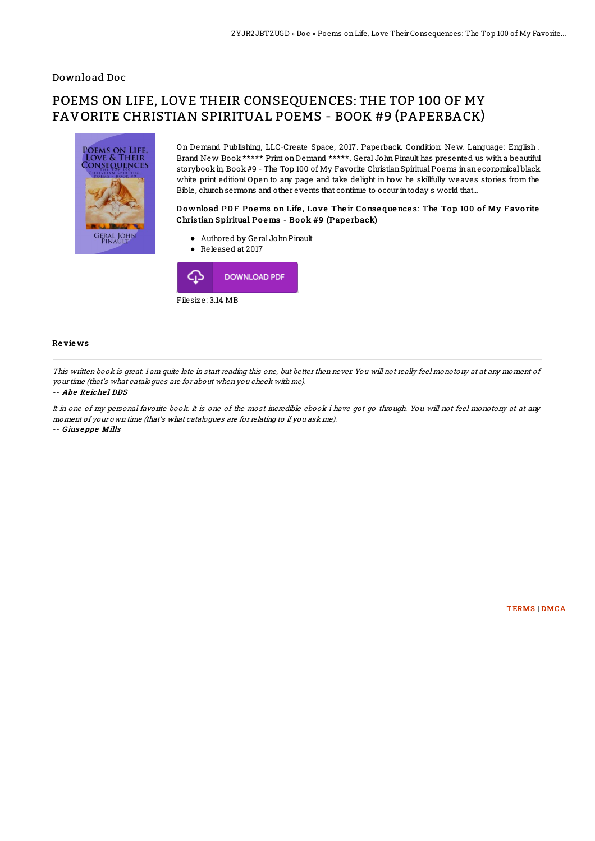## Download Doc

# POEMS ON LIFE, LOVE THEIR CONSEQUENCES: THE TOP 100 OF MY FAVORITE CHRISTIAN SPIRITUAL POEMS - BOOK #9 (PAPERBACK)



On Demand Publishing, LLC-Create Space, 2017. Paperback. Condition: New. Language: English . Brand New Book \*\*\*\*\* Print on Demand \*\*\*\*\*. Geral John Pinault has presented us with a beautiful storybook in, Book #9 - The Top 100 of My Favorite Christian Spiritual Poems in an economical black white print edition! Open to any page and take delight in how he skillfully weaves stories from the Bible, churchsermons and other events that continue to occur intoday s world that...

#### Download PDF Poems on Life, Love Their Consequences: The Top 100 of My Favorite Christian Spiritual Po e ms - Bo ok #9 (Pape rback)

- Authored by Geral JohnPinault
- Released at 2017



### Re vie ws

This written book is great. I am quite late in start reading this one, but better then never. You will not really feel monotony at at any moment of your time (that's what catalogues are for about when you check with me).

#### -- Abe Reichel DDS

It in one of my personal favorite book. It is one of the most incredible ebook i have got go through. You will not feel monotony at at any moment of your own time (that's what catalogues are for relating to if you ask me). -- G ius <sup>e</sup> ppe Mills